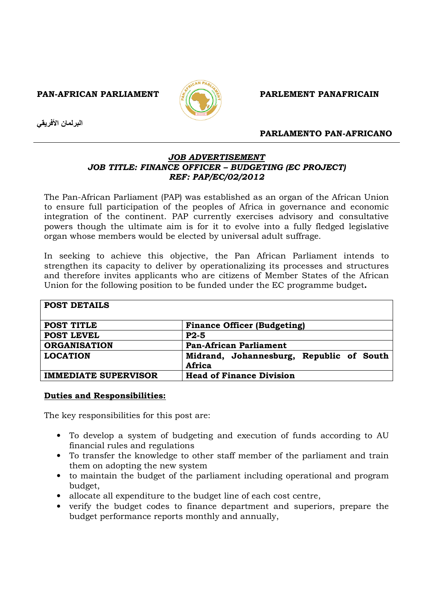PAN-AFRICAN PARLIAMENT **EXAMPLEMENT PARLEMENT PANAFRICAIN** 



البرلمان الأفريقي

# PARLAMENTO PAN-AFRICANO

# JOB ADVERTISEMENT JOB TITLE: FINANCE OFFICER – BUDGETING (EC PROJECT) REF: PAP/EC/02/2012

The Pan-African Parliament (PAP) was established as an organ of the African Union to ensure full participation of the peoples of Africa in governance and economic integration of the continent. PAP currently exercises advisory and consultative powers though the ultimate aim is for it to evolve into a fully fledged legislative organ whose members would be elected by universal adult suffrage.

In seeking to achieve this objective, the Pan African Parliament intends to strengthen its capacity to deliver by operationalizing its processes and structures and therefore invites applicants who are citizens of Member States of the African Union for the following position to be funded under the EC programme budget.

| <b>POST DETAILS</b>         |                                                    |
|-----------------------------|----------------------------------------------------|
| POST TITLE                  | <b>Finance Officer (Budgeting)</b>                 |
| <b>POST LEVEL</b>           | $P2-5$                                             |
| <b>ORGANISATION</b>         | <b>Pan-African Parliament</b>                      |
| <b>LOCATION</b>             | Midrand, Johannesburg, Republic of South<br>Africa |
| <b>IMMEDIATE SUPERVISOR</b> | <b>Head of Finance Division</b>                    |

# Duties and Responsibilities:

The key responsibilities for this post are:

- To develop a system of budgeting and execution of funds according to AU financial rules and regulations
- To transfer the knowledge to other staff member of the parliament and train them on adopting the new system
- to maintain the budget of the parliament including operational and program budget,
- allocate all expenditure to the budget line of each cost centre,
- verify the budget codes to finance department and superiors, prepare the budget performance reports monthly and annually,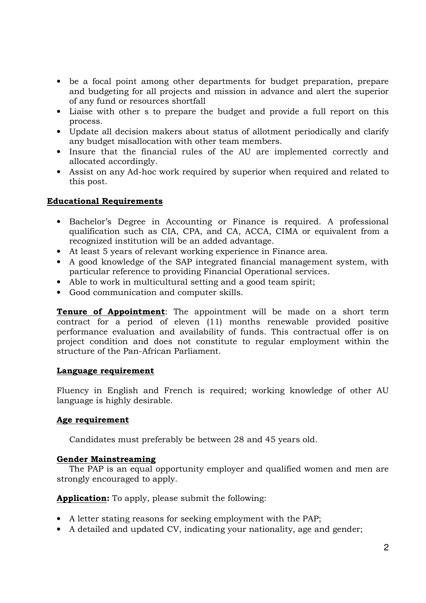- be a focal point among other departments for budget preparation, prepare and budgeting for all projects and mission in advance and alert the superior of any fund or resources shortfall
- Liaise with other s to prepare the budget and provide a full report on this process.
- Update all decision makers about status of allotment periodically and clarify any budget misallocation with other team members.
- Insure that the financial rules of the AU are implemented correctly and allocated accordingly.
- Assist on any Ad-hoc work required by superior when required and related to this post.

# Educational Requirements

- Bachelor's Degree in Accounting or Finance is required. A professional qualification such as CIA, CPA, and CA, ACCA, CIMA or equivalent from a recognized institution will be an added advantage.
- At least 5 years of relevant working experience in Finance area.
- A good knowledge of the SAP integrated financial management system, with particular reference to providing Financial Operational services.
- Able to work in multicultural setting and a good team spirit;
- Good communication and computer skills.

**Tenure of Appointment**: The appointment will be made on a short term contract for a period of eleven (11) months renewable provided positive performance evaluation and availability of funds. This contractual offer is on project condition and does not constitute to regular employment within the structure of the Pan-African Parliament.

# Language requirement

Fluency in English and French is required; working knowledge of other AU language is highly desirable.

# Age requirement

Candidates must preferably be between 28 and 45 years old.

# Gender Mainstreaming

 The PAP is an equal opportunity employer and qualified women and men are strongly encouraged to apply.

Application: To apply, please submit the following:

- A letter stating reasons for seeking employment with the PAP;
- A detailed and updated CV, indicating your nationality, age and gender;